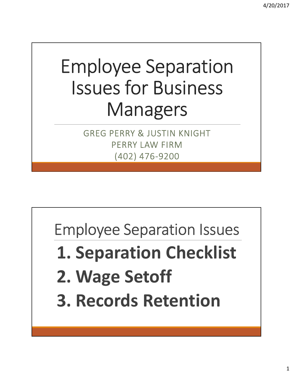## Employee Separation Issues for Business Managers

GREG PERRY & JUSTIN KNIGHT PERRY LAW FIRM (402) 476-9200

Employee Separation Issues

- 1. Separation Checklist
- 2. Wage Setoff
- 3. Records Retention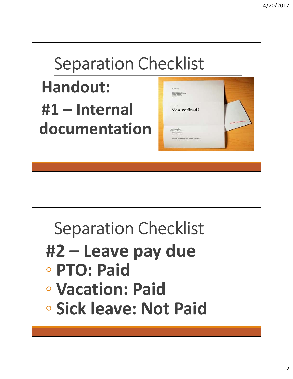## Separation Checklist Handout: Separation Checklist<br> **Handout:**<br>
#1 – Internal<br>
documentation documentation

## Separation Checklist Separation Checklist<br>
#2 – Leave pay due<br>
• PTO: Paid<br>
• Vacation: Paid ◦ PTO: Paid ◦ Vacation: Paid ◦ Sick leave: Not Paid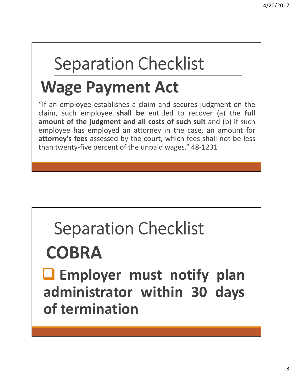## Separation Checklist

#### Wage Payment Act

<sup>4/20/2017</sup><br> **Separation Checklist**<br> **Wage Payment Act**<br>
"If an employee establishes a claim and secures judgment on the<br>
claim, such employee shall be entitled to recover (a) the full<br>
amount of the judgment and all costs 4/20/2017<br> **Community:** Separation Checklist<br> **Wage Payment Act**<br>
"If an employee establishes a claim and secures judgment on the<br>
claim, such employee shall be entitled to recover (a) the full<br>
amount of the judgment and 4/20/2017<br> **Separation Checklist**<br> **Wage Payment Act**<br>
"If an employee establishes a claim and secures judgment on the<br>
claim, such employee shall be entitted to recover (a) the full<br>
amount of the judgment and all costs o Separation Checklist<br>Wage Payment Act<br>"If an employee establishes a claim and secures judgment on the<br>claim, such employee shall be entitled to recover (a) the full<br>amount of the judgment and all costs of such suit and (b) **Separation Checklist**<br> **Wage Payment Act**<br>
"If an employee establishes a claim and secures judgment on the<br>
claim, such employee shall be entitled to recover (a) the full<br>
amount of the judgment and all costs of such suit Separation Checklist<br>
Wage Payment Act<br>
"If an employee establishes a claim and secures judgment on the<br>
claim, such employee shall be entitled to recover (a) the full<br>
amount of the judgment and all costs of such suit and

## Separation Checklist

## **COBRA**

Separation Checklist<br> **COBRA**<br> **a** Employer must notify plan<br>
administrator within 30 days<br>
of termination Separation Checklist<br>
COBRA<br> **COBRA**<br> **COBRA**<br> **COBRA**<br> **COBRA**<br> **COBRA**<br> **COBRA**<br> **COBRA**<br> **COBRA**<br> **COBRA**<br> **COBRA**<br> **COBRA**<br> **COBRA**<br> **COBRA**<br> **COBRA**<br> **COBRA**<br> **COBRA**<br> **COBRA** of termination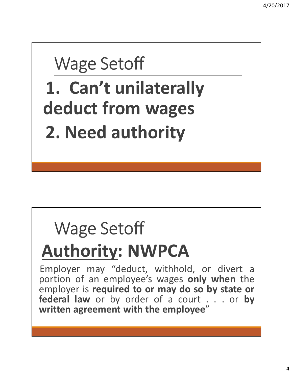#### Wage Setoff

1. Can't unilaterally deduct from wages 2. Need authority

## Wage Setoff

Wage Setoff<br> **Authority: NWPCA**<br>
Employer may "deduct, withhold, or divert a<br>
poortion of an employee's wages only when the<br>
employer is required to or may do so by state or Wage Setoff<br> **Authority: NWPCA**<br>
Employer may "deduct, withhold, or divert a<br>portion of an employee's wages only when the<br>
employer is required to or may do so by state or<br>
federal law or by order of a court Wage Setoff<br> **Authority: NWPCA**<br>
Employer may "deduct, withhold, or divert a<br>portion of an employee's wages only when the<br>
employer is required to or may do so by state or<br>
federal law or by order of a court . . . or by<br>
w Wage Setoff<br> **Authority: NWPCA**<br>
Employer may "deduct, withhold, or divert a<br>portion of an employee's wages only when the<br>
employer is required to or may do so by state or<br>
federal law or by order of a court . . . or by<br>
w Wage Setoff<br> **Authority: NWPCA**<br>
Employer may "deduct, withhold, or divert a<br>portion of an employee's wages only when the<br>
employer is required to or may do so by state or<br>
federal law or by order of a court . . . . or by<br> Wage Setoff<br> **Authority: NWPCA**<br>
Employer may "deduct, withhold, or divert a<br>portion of an employee's wages only when the<br>
employer is required to or may do so by state or<br>
federal law or by order of a court . . . or by<br>
w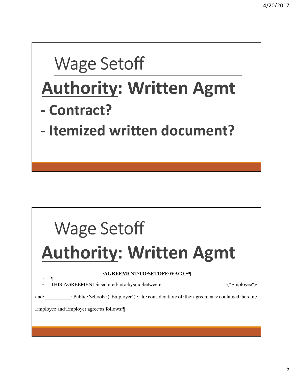# Wage Setoff Wage Setoff<br>
Authority: Written Agmt<br>
- Contract?<br>
Hemischemitten de seusent? Wage Setoff<br>
Authority: Written A Wage Setoff<br> **Authority: Written Agmt**<br>
- Contract?<br>
- Itemized written document? Wage Setoff<br>Authority: Written Agmt<br>Authority: Written Agmt

## Wage Setoff

and Public Schools ("Employer"). In consideration of the agreements contained herein,

Employee and Employer agree as follows: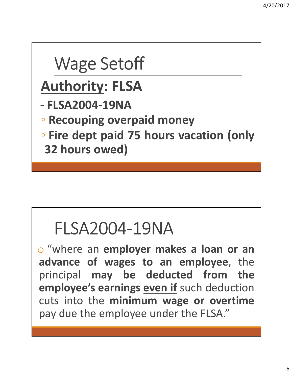## Wage Setoff Wage Setoff<br>
Authority: FLSA<br>
- FLSA2004-19NA<br>
- Recouping overpaid money Wage Setoff<br>
Authority: FLSA<br>
- FLSA2004-19NA<br>
- Recouping overpaid money<br>
. Fire dept paid 75 hours vacation Wage Setoff<br>
Nuthority: FLSA<br>
PELSA2004-19NA<br>
PELSA2004-19NA<br>
Pecouping overpaid money<br>
Perice dept paid 75 hours vacation (only<br>
The dept paid 75 hours vacation (only<br>
The set of the set of the set of the set of the set o Nage Setoff<br>
Authority: FLSA<br>
FLSA2004-19NA<br>
• Recouping overpaid money<br>
• Fire dept paid 75 hours vacation (only<br>
32 hours owed) Wage Setoff<br>
Nuthority: FLSA<br>
FLSA2004-19NA<br>
Recouping overpaid money<br>
Fire dept paid 75 hours vacation (only<br>
32 hours owed)

#### FLSA2004-19NA

• Fire dept paid 75 hours vacation (only<br>32 hours owed)<br>FLSA2004-19NA<br>• "where an employer makes a loan or an<br>advance of wages to an employee, the<br>principal may be deducted from the<br>employee's corning oven if such deductio 32 hours owed)<br>
FLSA2004-19NA<br>  $\circ$  "where an employer makes a loan or an<br>
advance of wages to an employee, the<br>
principal may be deducted from the<br>
employee's earnings <u>even if</u> such deduction<br>
auto into the minimum wage FLSA2004-19NA<br>  $\circ$  "where an employer makes a loan or an<br>
advance of wages to an employee, the<br>
principal may be deducted from the<br>
employee's earnings <u>even if</u> such deduction<br>
cuts into the minimum wage or overtime<br>
na FLSA2004-19NA<br>
S "where an employer makes a loan or an<br>
advance of wages to an employee, the<br>
principal may be deducted from the<br>
employee's earnings <u>even if</u> such deduction<br>
cuts into the minimum wage or overtime<br>
pay du FLSA2004-19NA<br>
• "where an employer makes a loan or an<br>
advance of wages to an employee, the<br>
principal may be deducted from the<br>
employee's earnings <u>even if</u> such deduction<br>
cuts into the minimum wage or overtime<br>
pay du FLSA2004-19NA<br>
o "where an employer makes a loan or an<br>
advance of wages to an employee, the<br>
principal may be deducted from the<br>
employee's earnings <u>even if</u> such deduction<br>
cuts into the minimum wage or overtime<br>
pay du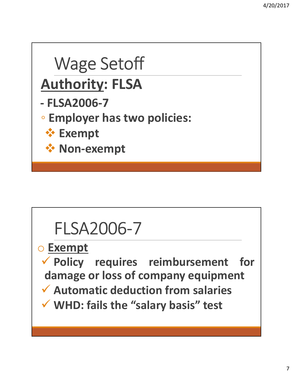## Wage Setoff Wage Setoff<br>
Authority: FLSA<br>
- FLSA2006-7<br>
- Employer has two policies: Wage Setoff<br>
Authority: FLSA<br>
- FLSA2006-7<br>
• Employer has two policies:<br>
• Exempt Mage Setoff<br>
Authority: FLSA<br>
FLSA2006-7<br>
• Employer has two policies:<br>
• Exempt<br>
• Non-exempt<br>
• Non-exempt **Exempt ☆ Non-exempt**

#### FLSA2006-7

o Exempt

\* Non-exempt<br>
FLSA2006-7<br>
<u>Exempt</u><br>
Y Policy requires reimbursement for<br>
damage or loss of company equipment<br>
Y Automatic deduction from salaries FLSA2006-7<br>
Exempt<br>
Policy requires reimbursement for<br>
damage or loss of company equipment<br>
Automatic deduction from salaries<br>
WHD: fails the "salary basis" test FLSA2006-7<br>
Exempt<br>
V Policy requires reimbursement for<br>
damage or loss of company equipment<br>
V Automatic deduction from salaries<br>
V WHD: fails the "salary basis" test FLSA2006-7<br>
Exempt<br>
Version the policy of the Talenth Contract Company equipment<br>
Version of the Salary basis of the MHD: fails the "salary basis" test<br>
Version of the Salary basis" test<br>
Company basis" test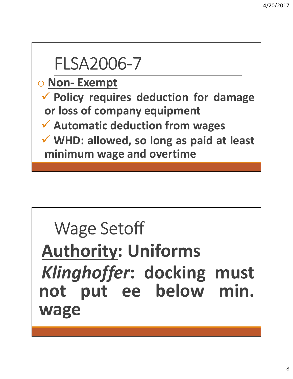## FLSA2006-7 FLSA2006-7<br>
O Non- Exempt<br>
V Policy requires deduction for dam<br>
or loss of company equipment PLSA2006-7<br>
Policy requires deduction for damage<br>
Policy requires deduction for damage<br>
or loss of company equipment<br>
Automatic deduction from wages Apple 1968 Manuson of the 1960-1968<br>
The Exempt Policy requires deduction for damage<br>
or loss of company equipment<br>
Automatic deduction from wages<br>
Automatic deduction from wages<br>
Automatic deduction from wages<br>
AUSE 1968 FLSA2006-7<br>
Mon-Exempt<br>
V Policy requires deduction for damage<br>
or loss of company equipment<br>
V Automatic deduction from wages<br>
V WHD: allowed, so long as paid at least<br>
minimum wage and overtime FLSA2006-7<br>
Mon-Exempt<br>
V Policy requires deduction for damage<br>
or loss of company equipment<br>
V Automatic deduction from wages<br>
V WHD: allowed, so long as paid at least<br>
minimum wage and overtime FLSA2006-7<br>
Non-Exempt<br>
Policy requires deduction for damage<br>
or loss of company equipment<br>
Automatic deduction from wages<br>
WHD: allowed, so long as paid at least<br>
minimum wage and overtime

## Wage Setoff V WHD: allowed, so long as paid at least<br>minimum wage and overtime<br>Wage Setoff<br>Authority: Uniforms<br>Klinghoffer: docking must Wage Setoff<br>
Authority: Uniforms<br>
Klinghoffer: docking must<br>
not put ee below min. Wage Setoff<br> **Authority: Uniforms<br>
Klinghoffer: docking must**<br>
not put ee below min.<br>
wage wage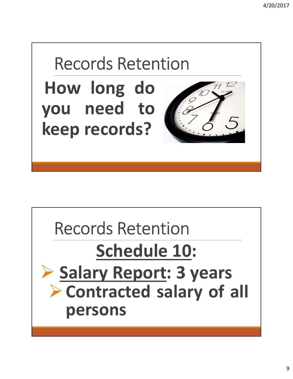

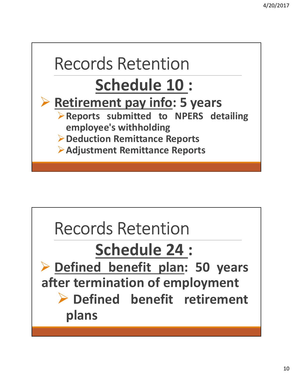

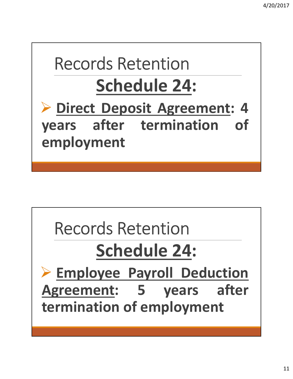## Records Retention Schedule 24:

Records Retention<br>
Schedule 24:<br>
> Direct Deposit Agreement: 4<br>
years after termination of<br>
employment Records Retention<br>
Schedule 24:<br>
Puirect Deposit Agreement: 4<br>
Vears after termination of<br>
employment employment

## Records Retention

Schedule 24:

Records Retention<br>
Schedule 24:<br>
> Employee Payroll Deduction<br>
Agreement: 5 years after<br>
termination of employment Records Retention<br>
Schedule 24:<br>
> Employee Payroll Deduction<br>
Agreement: 5 years after<br>
termination of employment Records Retention<br>
Schedule 24:<br>
> Employee Payroll Deduction<br>
Agreement: 5 years after<br>
termination of employment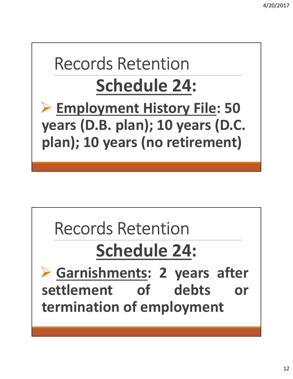#### Records Retention Schedule 24: ▶ Employment History File: 50 years (D.B. plan); 10 years (D.C.

plan); 10 years (no retirement)

## Records Retention

### Schedule 24:

Records Retention<br>
Schedule 24:<br>
Schedule 24:<br>
Schedule 24:<br>
Schedule 24:<br>
Schedule 24:<br>
Schedule 24:<br>
Schedule 24:<br>
Schedule 24:<br>
Schedule 24:<br>
The Schedule Content of debts or<br>
termination of employment Records Retention<br>
Schedule 24:<br>
Schedule 24:<br>
Schedule 24:<br>
Schedule 24:<br>
Schedule 24:<br>
Schedule 24:<br>
Schedule 24:<br>
Schedule 24:<br>
Schedule 24:<br>
Schedule 24:<br>
Schedule 24:<br>
Schedule 24:<br>
Schedule 24: Records Retention<br>
Schedule 24:<br>
Schedule 24:<br>
Schedule 24:<br>
Schedule 24:<br>
Schedule 24:<br>
Schedule 24:<br>
Schedule 24:<br>
Schedule 24:<br>
Schedule 24:<br>
Schedule 24:<br>
Schedule 24:<br>
Schedule 24:<br>
Schedule 24:<br>
Schedule 24:<br>
Schedul